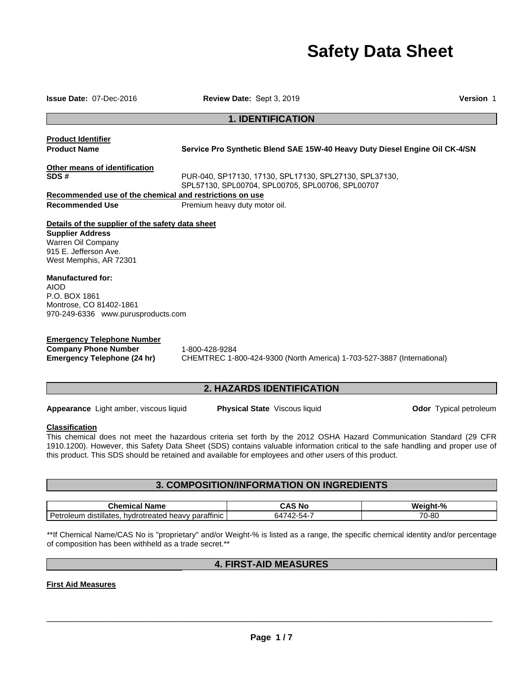# **Safety Data Sheet**

**Issue Date:** 07-Dec-2016 **Review Date:** Sept 3, 2019 **Version** 1 **1. IDENTIFICATION Product Identifier Product Name Service Pro Synthetic Blend SAE 15W-40 Heavy Duty Diesel Engine Oil CK-4/SN Other means of identification SDS #** PUR-040, SP17130, 17130, SPL17130, SPL27130, SPL37130, SPL57130, SPL00704, SPL00705, SPL00706, SPL00707 **Recommended use of the chemical and restrictions on use Recommended Use The Premium heavy duty motor oil. Details of the supplier of the safety data sheet Supplier Address**  Warren Oil Company 915 E. Jefferson Ave. West Memphis, AR 72301 **Manufactured for:**  AIOD P.O. BOX 1861 Montrose, CO 81402-1861 970-249-6336 www.purusproducts.com **Emergency Telephone Number**

**Company Phone Number** 1-800-428-9284

**Emergency Telephone (24 hr)** CHEMTREC 1-800-424-9300 (North America) 1-703-527-3887 (International)

# **2. HAZARDS IDENTIFICATION**

**Appearance** Light amber, viscous liquid **Physical State** Viscous liquid **Odor** Typical petroleum

#### **Classification**

This chemical does not meet the hazardous criteria set forth by the 2012 OSHA Hazard Communication Standard (29 CFR 1910.1200). However, this Safety Data Sheet (SDS) contains valuable information critical to the safe handling and proper use of this product. This SDS should be retained and available for employees and other users of this product.

## **3. COMPOSITION/INFORMATION ON INGREDIENTS**

| .<br>Name<br>ыешк<br>τa                                                                  | No<br>.nu                             | $\mathbf{a}$<br>70    |
|------------------------------------------------------------------------------------------|---------------------------------------|-----------------------|
| <br>Do <sub>th</sub><br>parattinic<br>distillates<br>hydrotreated<br>ın<br>neavv<br>.ner | 64<br>$\overline{\phantom{a}}$<br>-במ | 70<br>0C<br>U-<br>סי- |

\*\*If Chemical Name/CAS No is "proprietary" and/or Weight-% is listed as a range, the specific chemical identity and/or percentage of composition has been withheld as a trade secret.\*\*

# **4. FIRST-AID MEASURES**

**First Aid Measures**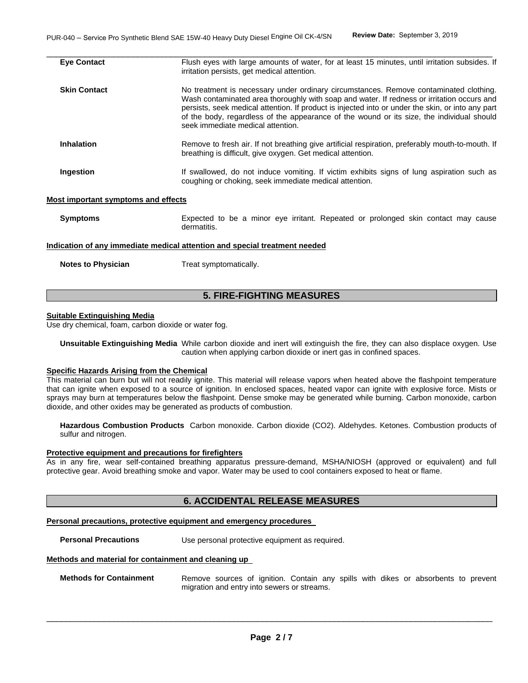| <b>Eve Contact</b>                         | Flush eyes with large amounts of water, for at least 15 minutes, until irritation subsides. If<br>irritation persists, get medical attention.                                                                                                                                                                                                                                                                              |
|--------------------------------------------|----------------------------------------------------------------------------------------------------------------------------------------------------------------------------------------------------------------------------------------------------------------------------------------------------------------------------------------------------------------------------------------------------------------------------|
| <b>Skin Contact</b>                        | No treatment is necessary under ordinary circumstances. Remove contaminated clothing.<br>Wash contaminated area thoroughly with soap and water. If redness or irritation occurs and<br>persists, seek medical attention. If product is injected into or under the skin, or into any part<br>of the body, regardless of the appearance of the wound or its size, the individual should<br>seek immediate medical attention. |
| <b>Inhalation</b>                          | Remove to fresh air. If not breathing give artificial respiration, preferably mouth-to-mouth. If<br>breathing is difficult, give oxygen. Get medical attention.                                                                                                                                                                                                                                                            |
| Ingestion                                  | If swallowed, do not induce vomiting. If victim exhibits signs of lung aspiration such as<br>coughing or choking, seek immediate medical attention.                                                                                                                                                                                                                                                                        |
| <b>Most important symptoms and effects</b> |                                                                                                                                                                                                                                                                                                                                                                                                                            |
| <b>Symptoms</b>                            | Expected to be a minor eye irritant. Repeated or prolonged skin contact may cause<br>dermatitis.                                                                                                                                                                                                                                                                                                                           |

#### **Indication of any immediate medical attention and special treatment needed**

**Notes to Physician**  Treat symptomatically.

# **5. FIRE-FIGHTING MEASURES**

#### **Suitable Extinguishing Media**

Use dry chemical, foam, carbon dioxide or water fog.

**Unsuitable Extinguishing Media** While carbon dioxide and inert will extinguish the fire, they can also displace oxygen. Use caution when applying carbon dioxide or inert gas in confined spaces.

#### **Specific Hazards Arising from the Chemical**

This material can burn but will not readily ignite. This material will release vapors when heated above the flashpoint temperature that can ignite when exposed to a source of ignition. In enclosed spaces, heated vapor can ignite with explosive force. Mists or sprays may burn at temperatures below the flashpoint. Dense smoke may be generated while burning. Carbon monoxide, carbon dioxide, and other oxides may be generated as products of combustion.

**Hazardous Combustion Products** Carbon monoxide. Carbon dioxide (CO2). Aldehydes. Ketones. Combustion products of sulfur and nitrogen.

#### **Protective equipment and precautions for firefighters**

As in any fire, wear self-contained breathing apparatus pressure-demand, MSHA/NIOSH (approved or equivalent) and full protective gear. Avoid breathing smoke and vapor. Water may be used to cool containers exposed to heat or flame.

# **6. ACCIDENTAL RELEASE MEASURES**

#### **Personal precautions, protective equipment and emergency procedures**

**Personal Precautions Use personal protective equipment as required.** 

#### **Methods and material for containment and cleaning up**

| <b>Methods for Containment</b> |                                             |  |  |  |  | Remove sources of ignition. Contain any spills with dikes or absorbents to prevent |  |
|--------------------------------|---------------------------------------------|--|--|--|--|------------------------------------------------------------------------------------|--|
|                                | migration and entry into sewers or streams. |  |  |  |  |                                                                                    |  |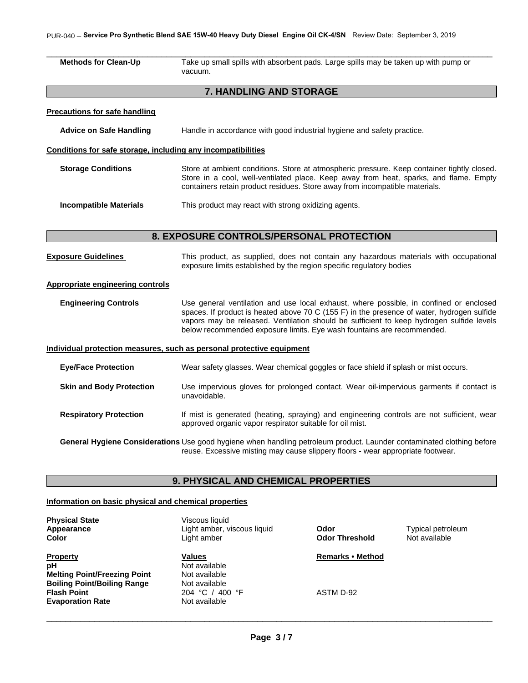### PUR-040 – **Service Pro Synthetic Blend SAE 15W-40 Heavy Duty Diesel Engine Oil CK-4/SN** Review Date: September 3, 2019

| <b>Methods for Clean-Up</b>                                  | Take up small spills with absorbent pads. Large spills may be taken up with pump or<br>vacuum.                                                                                                                                                                                                                                                             |  |  |  |  |  |  |
|--------------------------------------------------------------|------------------------------------------------------------------------------------------------------------------------------------------------------------------------------------------------------------------------------------------------------------------------------------------------------------------------------------------------------------|--|--|--|--|--|--|
| 7. HANDLING AND STORAGE                                      |                                                                                                                                                                                                                                                                                                                                                            |  |  |  |  |  |  |
| <b>Precautions for safe handling</b>                         |                                                                                                                                                                                                                                                                                                                                                            |  |  |  |  |  |  |
| <b>Advice on Safe Handling</b>                               | Handle in accordance with good industrial hygiene and safety practice.                                                                                                                                                                                                                                                                                     |  |  |  |  |  |  |
| Conditions for safe storage, including any incompatibilities |                                                                                                                                                                                                                                                                                                                                                            |  |  |  |  |  |  |
| <b>Storage Conditions</b>                                    | Store at ambient conditions. Store at atmospheric pressure. Keep container tightly closed.<br>Store in a cool, well-ventilated place. Keep away from heat, sparks, and flame. Empty<br>containers retain product residues. Store away from incompatible materials.                                                                                         |  |  |  |  |  |  |
| <b>Incompatible Materials</b>                                | This product may react with strong oxidizing agents.                                                                                                                                                                                                                                                                                                       |  |  |  |  |  |  |
| 8. EXPOSURE CONTROLS/PERSONAL PROTECTION                     |                                                                                                                                                                                                                                                                                                                                                            |  |  |  |  |  |  |
|                                                              |                                                                                                                                                                                                                                                                                                                                                            |  |  |  |  |  |  |
| <b>Exposure Guidelines</b>                                   | This product, as supplied, does not contain any hazardous materials with occupational<br>exposure limits established by the region specific regulatory bodies                                                                                                                                                                                              |  |  |  |  |  |  |
| <b>Appropriate engineering controls</b>                      |                                                                                                                                                                                                                                                                                                                                                            |  |  |  |  |  |  |
| <b>Engineering Controls</b>                                  | Use general ventilation and use local exhaust, where possible, in confined or enclosed<br>spaces. If product is heated above 70 C (155 F) in the presence of water, hydrogen sulfide<br>vapors may be released. Ventilation should be sufficient to keep hydrogen sulfide levels<br>below recommended exposure limits. Eye wash fountains are recommended. |  |  |  |  |  |  |
|                                                              | Individual protection measures, such as personal protective equipment                                                                                                                                                                                                                                                                                      |  |  |  |  |  |  |
| <b>Eye/Face Protection</b>                                   | Wear safety glasses. Wear chemical goggles or face shield if splash or mist occurs.                                                                                                                                                                                                                                                                        |  |  |  |  |  |  |
| <b>Skin and Body Protection</b>                              | Use impervious gloves for prolonged contact. Wear oil-impervious garments if contact is<br>unavoidable.                                                                                                                                                                                                                                                    |  |  |  |  |  |  |
| <b>Respiratory Protection</b>                                | If mist is generated (heating, spraying) and engineering controls are not sufficient, wear<br>approved organic vapor respirator suitable for oil mist.                                                                                                                                                                                                     |  |  |  |  |  |  |
|                                                              | General Hygiene Considerations Use good hygiene when handling petroleum product. Launder contaminated clothing before<br>reuse. Excessive misting may cause slippery floors - wear appropriate footwear.                                                                                                                                                   |  |  |  |  |  |  |
|                                                              | 9. PHYSICAL AND CHEMICAL PROPERTIES                                                                                                                                                                                                                                                                                                                        |  |  |  |  |  |  |
| Information on basic physical and chemical properties        |                                                                                                                                                                                                                                                                                                                                                            |  |  |  |  |  |  |

**Property Remarks • Method Property Remarks • Method pH Melting Point/Freezing Point Welting Point/Freezing Point Boiling Point/Boiling Range Mot available Flash Point Constant Constant Point 204 °C** / 400 °F ASTM D-92<br> **Evaporation Rate Not available Evaporation Rate** 

- **Physical State Physical State Physical State Physical State Physical State Physical State Physical State Physical State Physical State Physical State Physical State Physical State Physical State Appearance** Light amber, viscous liquid **Odor** Typical petroleum
	- **Not available**<br>Not available

**Odor Threshold**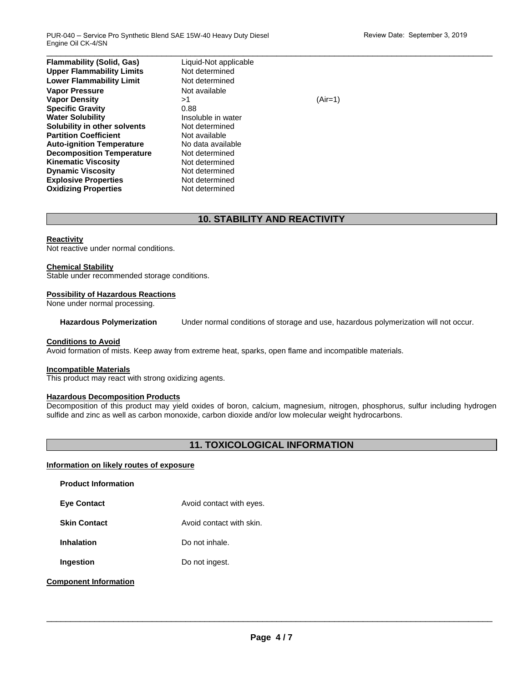$\Box$ **Flammability (Solid, Gas)** Liquid-Not applicable<br> **Upper Flammability Limits** Not determined **Upper Flammability Limits Lower Flammability Limit** Not determined **Vapor Pressure Not available Vapor Density** >1 (Air=1) **Specific Gravity Water Solubility Insoluble in water Solubility in other solvents** Not determined **Partition Coefficient Not available Auto-ignition Temperature** No data available **Decomposition Temperature** Not determined **Kinematic Viscosity**<br> **Communic Viscosity**<br> **Not determined Dynamic Viscosity Explosive Properties** Not determined **Oxidizing Properties** Not determined

# **10. STABILITY AND REACTIVITY**

### **Reactivity**

Not reactive under normal conditions.

#### **Chemical Stability**

Stable under recommended storage conditions.

#### **Possibility of Hazardous Reactions**

None under normal processing.

**Hazardous Polymerization** Under normal conditions of storage and use, hazardous polymerization will not occur.

#### **Conditions to Avoid**

Avoid formation of mists. Keep away from extreme heat, sparks, open flame and incompatible materials.

#### **Incompatible Materials**

This product may react with strong oxidizing agents.

# **Hazardous Decomposition Products**

Decomposition of this product may yield oxides of boron, calcium, magnesium, nitrogen, phosphorus, sulfur including hydrogen sulfide and zinc as well as carbon monoxide, carbon dioxide and/or low molecular weight hydrocarbons.

# **11. TOXICOLOGICAL INFORMATION**

### **Information on likely routes of exposure**

| <b>Product Information</b>   |                          |
|------------------------------|--------------------------|
| <b>Eye Contact</b>           | Avoid contact with eyes. |
| <b>Skin Contact</b>          | Avoid contact with skin  |
| <b>Inhalation</b>            | Do not inhale.           |
| Ingestion                    | Do not ingest.           |
| <b>Component Information</b> |                          |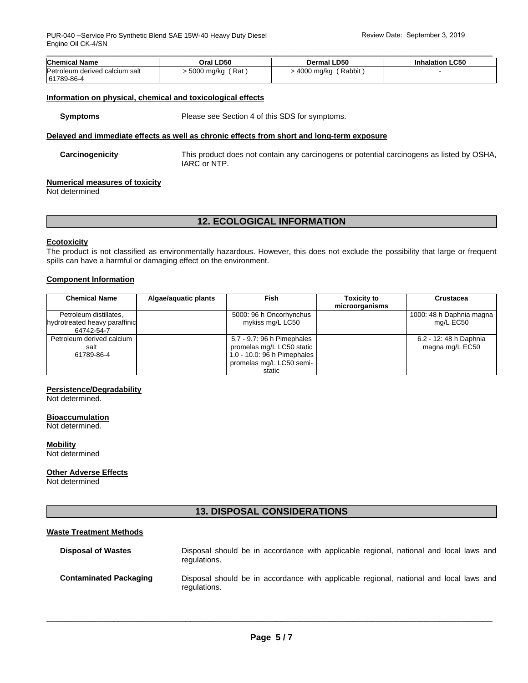| <b>Chemical Name</b>           | Oral LD50        | Dermal LD50                       | <b>Inhalation LC50</b> |
|--------------------------------|------------------|-----------------------------------|------------------------|
| Petroleum derived calcium salt | 5000 mg/kg (Rat) | $-4000$ mg/kg $\ell$<br>' Rabbit, |                        |
| 61789-86-4                     |                  |                                   |                        |

#### **Information on physical, chemical and toxicological effects**

**Symptoms** Please see Section 4 of this SDS for symptoms.

#### **Delayed and immediate effects as well as chronic effects from short and long-term exposure**

| Carcinogenicity | This product does not contain any carcinogens or potential carcinogens as listed by OSHA,<br>IARC or NTP. |
|-----------------|-----------------------------------------------------------------------------------------------------------|
|                 |                                                                                                           |

### **Numerical measures of toxicity**

Not determined

# **12. ECOLOGICAL INFORMATION**

#### **Ecotoxicity**

The product is not classified as environmentally hazardous. However, this does not exclude the possibility that large or frequent spills can have a harmful or damaging effect on the environment.

#### **Component Information**

| <b>Chemical Name</b>          | Algae/aquatic plants | <b>Fish</b>                 | <b>Toxicity to</b><br>microorganisms | Crustacea                |
|-------------------------------|----------------------|-----------------------------|--------------------------------------|--------------------------|
|                               |                      |                             |                                      |                          |
| Petroleum distillates,        |                      | 5000: 96 h Oncorhynchus     |                                      | 1000: 48 h Daphnia magna |
| hydrotreated heavy paraffinic |                      | mykiss mg/L LC50            |                                      | mg/L EC50                |
| 64742-54-7                    |                      |                             |                                      |                          |
| Petroleum derived calcium     |                      | 5.7 - 9.7: 96 h Pimephales  |                                      | 6.2 - 12: 48 h Daphnia   |
| salt                          |                      | promelas mg/L LC50 static   |                                      | magna mg/L EC50          |
| 61789-86-4                    |                      | 1.0 - 10.0: 96 h Pimephales |                                      |                          |
|                               |                      | promelas mg/L LC50 semi-    |                                      |                          |
|                               |                      | static                      |                                      |                          |

#### **Persistence/Degradability**

Not determined.

#### **Bioaccumulation**

Not determined.

**Mobility** Not determined

**Other Adverse Effects**

Not determined

# **13. DISPOSAL CONSIDERATIONS**

#### **Waste Treatment Methods**

| <b>Disposal of Wastes</b>     | Disposal should be in accordance with applicable regional, national and local laws and<br>regulations. |  |  |  |  |  |
|-------------------------------|--------------------------------------------------------------------------------------------------------|--|--|--|--|--|
| <b>Contaminated Packaging</b> | Disposal should be in accordance with applicable regional, national and local laws and<br>regulations. |  |  |  |  |  |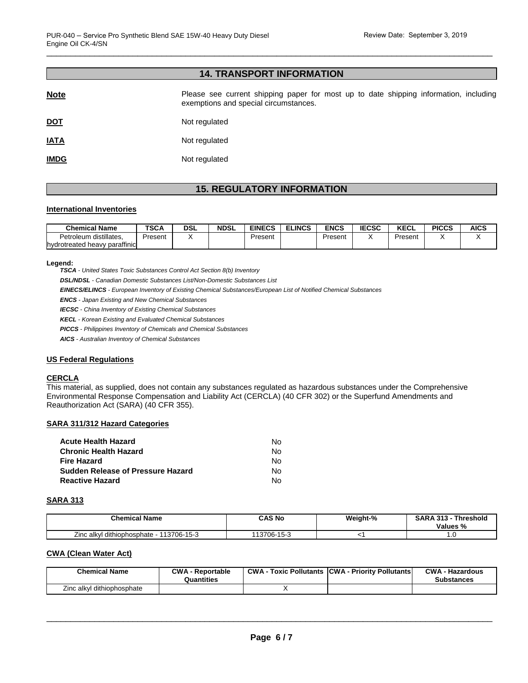# **14. TRANSPORT INFORMATION**

| <b>Note</b> | Please see current shipping paper for most up to date shipping information, including<br>exemptions and special circumstances. |
|-------------|--------------------------------------------------------------------------------------------------------------------------------|
| <u>DOT</u>  | Not regulated                                                                                                                  |
| <b>IATA</b> | Not regulated                                                                                                                  |
| <b>IMDG</b> | Not regulated                                                                                                                  |

# **15. REGULATORY INFORMATION**

#### **International Inventories**

| <b>Chemical Name</b>          | <b>TSCA</b> | DSL | <b>NDSL</b> | <b>EINECS</b> | <b>ELINCS</b> | ENCS    | <b>IECSC</b> | <b>KECL</b> | <b>PICCS</b> | <b>AICS</b> |
|-------------------------------|-------------|-----|-------------|---------------|---------------|---------|--------------|-------------|--------------|-------------|
| distillates.<br>Petroleum     | Present     |     |             | Present       |               | Present |              | Present     |              |             |
| hydrotreated heavy paraffinic |             |     |             |               |               |         |              |             |              |             |

#### **Legend:**

*TSCA - United States Toxic Substances Control Act Section 8(b) Inventory* 

*DSL/NDSL - Canadian Domestic Substances List/Non-Domestic Substances List* 

*EINECS/ELINCS - European Inventory of Existing Chemical Substances/European List of Notified Chemical Substances* 

*ENCS - Japan Existing and New Chemical Substances* 

*IECSC - China Inventory of Existing Chemical Substances* 

*KECL - Korean Existing and Evaluated Chemical Substances* 

*PICCS - Philippines Inventory of Chemicals and Chemical Substances* 

*AICS - Australian Inventory of Chemical Substances* 

#### **US Federal Regulations**

#### **CERCLA**

This material, as supplied, does not contain any substances regulated as hazardous substances under the Comprehensive Environmental Response Compensation and Liability Act (CERCLA) (40 CFR 302) or the Superfund Amendments and Reauthorization Act (SARA) (40 CFR 355).

#### **SARA 311/312 Hazard Categories**

| No. |
|-----|
| No. |
| No. |
| No. |
| No. |
|     |

#### **SARA 313**

| <b>Chemical Name</b>                        | CAS No      | Weight-% | <b>SARA 313 -</b><br><b>Threshold</b><br>Values % |
|---------------------------------------------|-------------|----------|---------------------------------------------------|
| Zinc alkyl dithiophosphate -<br>113706-15-3 | 113706-15-3 |          | .                                                 |

#### **CWA (Clean Water Act)**

| <b>Chemical Name</b>       | <b>CWA - Reportable</b><br>Quantities | CWA- | Toxic Pollutants CWA - Priority Pollutants | <b>CWA - Hazardous</b><br><b>Substances</b> |
|----------------------------|---------------------------------------|------|--------------------------------------------|---------------------------------------------|
| Zinc alkyl dithiophosphate |                                       |      |                                            |                                             |